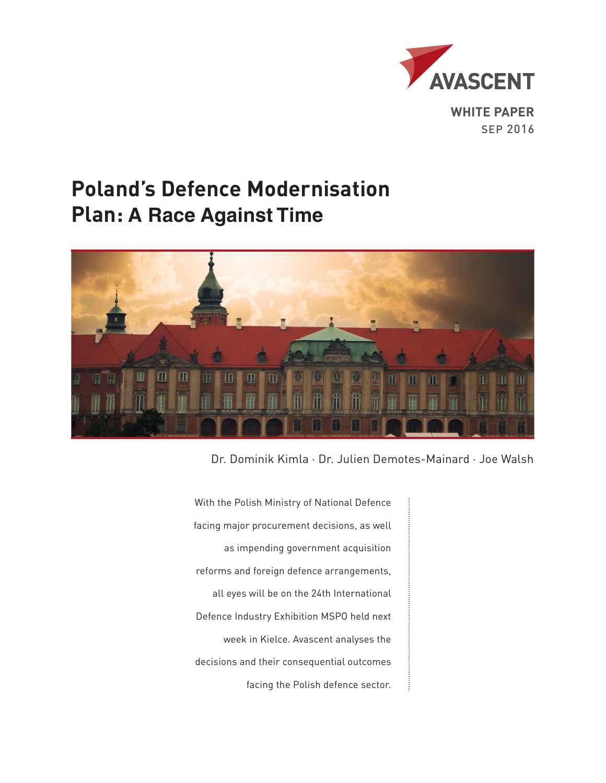

# **Poland's Defence Modernisation Plan: A Race Against Time**



Dr. Dominik Kimla · Dr. Julien Demotes-Mainard · Joe Walsh

With the Polish Ministry of National Defence facing major procurement decisions, as well as impending government acquisition reforms and foreign defence arrangements, all eyes will be on the 24th International Defence Industry Exhibition MSPO held next week in Kielce. Avascent analyses the decisions and their consequential outcomes facing the Polish defence sector.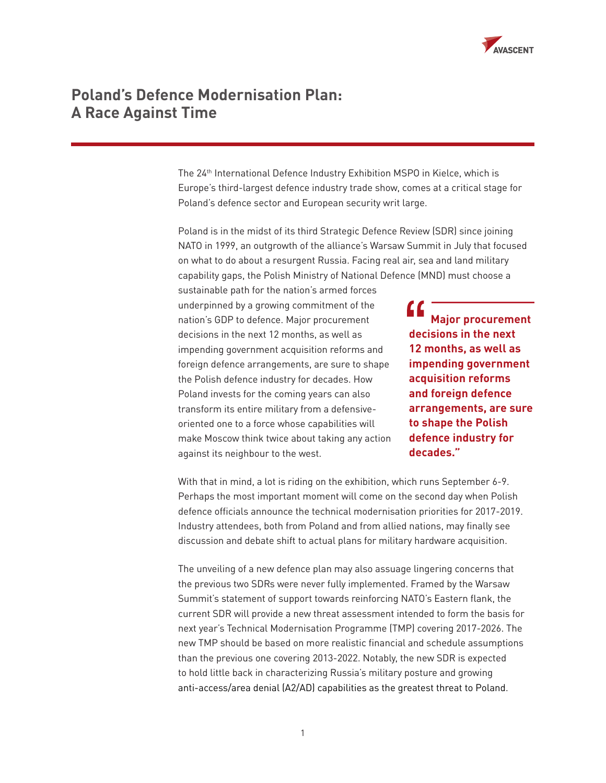

#### **Poland's Defence Modernisation Plan: A Race Against Time**

The 24<sup>th</sup> International Defence Industry Exhibition MSPO in Kielce, which is Europe's third-largest defence industry trade show, comes at a critical stage for Poland's defence sector and European security writ large.

Poland is in the midst of its third Strategic Defence Review (SDR) since joining NATO in 1999, an outgrowth of the alliance's Warsaw Summit in July that focused on what to do about a resurgent Russia. Facing real air, sea and land military capability gaps, the Polish Ministry of National Defence (MND) must choose a

sustainable path for the nation's armed forces underpinned by a growing commitment of the nation's GDP to defence. Major procurement decisions in the next 12 months, as well as impending government acquisition reforms and foreign defence arrangements, are sure to shape the Polish defence industry for decades. How Poland invests for the coming years can also transform its entire military from a defensiveoriented one to a force whose capabilities will make Moscow think twice about taking any action against its neighbour to the west.

 **Major procurement decisions in the next 12 months, as well as impending government acquisition reforms and foreign defence arrangements, are sure to shape the Polish defence industry for decades."**

With that in mind, a lot is riding on the exhibition, which runs September 6-9. Perhaps the most important moment will come on the second day when Polish defence officials announce the technical modernisation priorities for 2017-2019. Industry attendees, both from Poland and from allied nations, may finally see discussion and debate shift to actual plans for military hardware acquisition.

The unveiling of a new defence plan may also assuage lingering concerns that the previous two SDRs were never fully implemented. Framed by the Warsaw Summit's statement of support towards reinforcing NATO's Eastern flank, the current SDR will provide a new threat assessment intended to form the basis for next year's Technical Modernisation Programme (TMP) covering 2017-2026. The new TMP should be based on more realistic financial and schedule assumptions than the previous one covering 2013-2022. Notably, the new SDR is expected to hold little back in characterizing Russia's military posture and growing anti-access/area denial (A2/AD) capabilities as the greatest threat to Poland.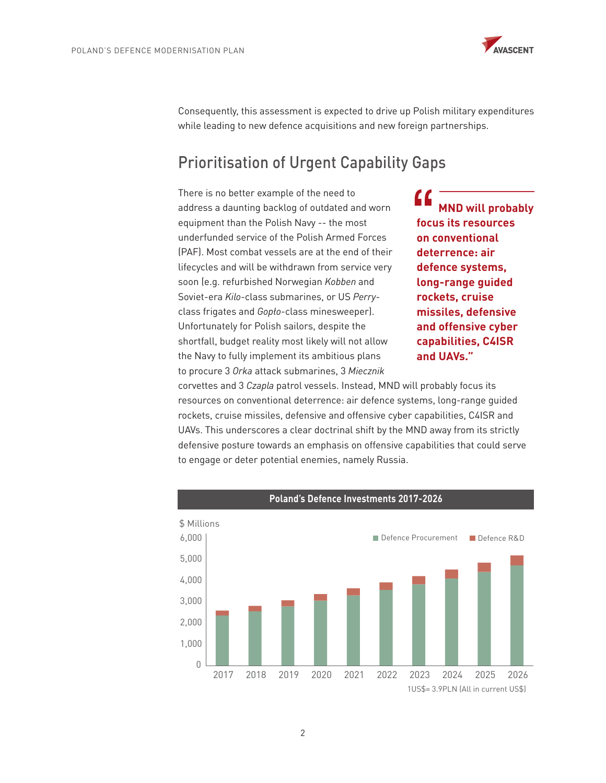

Consequently, this assessment is expected to drive up Polish military expenditures while leading to new defence acquisitions and new foreign partnerships.

# Prioritisation of Urgent Capability Gaps

There is no better example of the need to address a daunting backlog of outdated and worn equipment than the Polish Navy -- the most underfunded service of the Polish Armed Forces (PAF). Most combat vessels are at the end of their lifecycles and will be withdrawn from service very soon (e.g. refurbished Norwegian *Kobben* and Soviet-era *Kilo*-class submarines, or US *Perry*class frigates and Gopło-class minesweeper). Unfortunately for Polish sailors, despite the shortfall, budget reality most likely will not allow the Navy to fully implement its ambitious plans to procure 3 *Orka* attack submarines, 3 *Miecznik* 

 **MND will probably focus its resources on conventional deterrence: air defence systems, long-range guided rockets, cruise missiles, defensive and offensive cyber capabilities, C4ISR and UAVs."**

corvettes and 3 *Czapla* patrol vessels. Instead, MND will probably focus its resources on conventional deterrence: air defence systems, long-range guided rockets, cruise missiles, defensive and offensive cyber capabilities, C4ISR and UAVs. This underscores a clear doctrinal shift by the MND away from its strictly defensive posture towards an emphasis on offensive capabilities that could serve to engage or deter potential enemies, namely Russia.

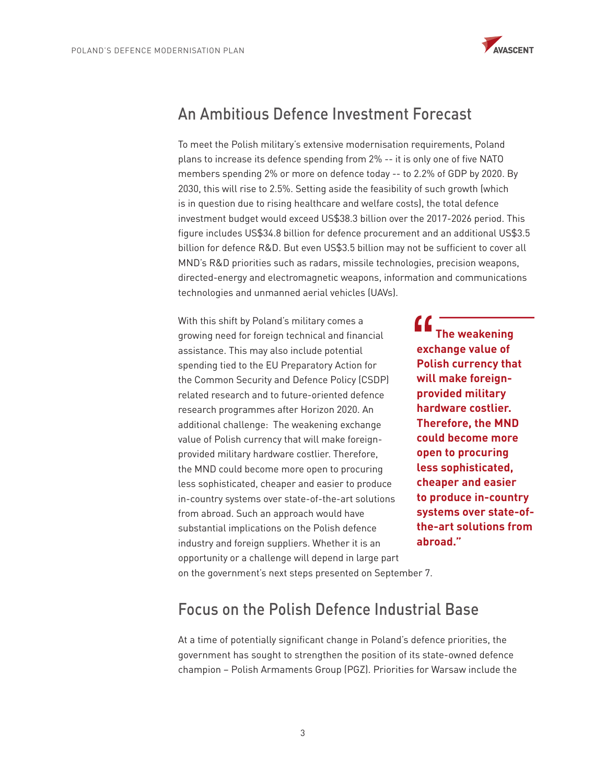

### An Ambitious Defence Investment Forecast

To meet the Polish military's extensive modernisation requirements, Poland plans to increase its defence spending from 2% -- it is only one of five NATO members spending 2% or more on defence today -- to 2.2% of GDP by 2020. By 2030, this will rise to 2.5%. Setting aside the feasibility of such growth (which is in question due to rising healthcare and welfare costs), the total defence investment budget would exceed US\$38.3 billion over the 2017-2026 period. This figure includes US\$34.8 billion for defence procurement and an additional US\$3.5 billion for defence R&D. But even US\$3.5 billion may not be sufficient to cover all MND's R&D priorities such as radars, missile technologies, precision weapons, directed-energy and electromagnetic weapons, information and communications technologies and unmanned aerial vehicles (UAVs).

With this shift by Poland's military comes a growing need for foreign technical and financial assistance. This may also include potential spending tied to the EU Preparatory Action for the Common Security and Defence Policy (CSDP) related research and to future-oriented defence research programmes after Horizon 2020. An additional challenge: The weakening exchange value of Polish currency that will make foreignprovided military hardware costlier. Therefore, the MND could become more open to procuring less sophisticated, cheaper and easier to produce in-country systems over state-of-the-art solutions from abroad. Such an approach would have substantial implications on the Polish defence industry and foreign suppliers. Whether it is an opportunity or a challenge will depend in large part on the government's next steps presented on September 7.

 **The weakening exchange value of Polish currency that will make foreignprovided military hardware costlier. Therefore, the MND could become more open to procuring less sophisticated, cheaper and easier to produce in-country systems over state-ofthe-art solutions from abroad."**

### Focus on the Polish Defence Industrial Base

At a time of potentially significant change in Poland's defence priorities, the government has sought to strengthen the position of its state-owned defence champion – Polish Armaments Group (PGZ). Priorities for Warsaw include the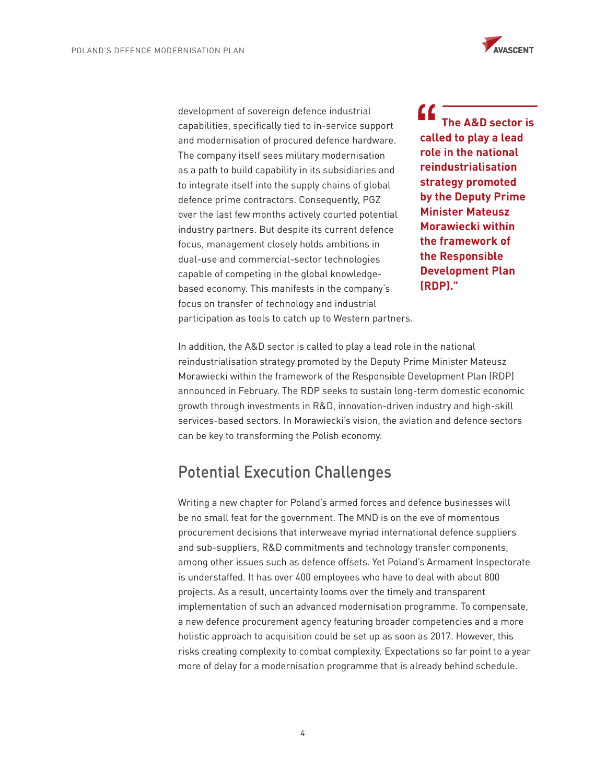

development of sovereign defence industrial capabilities, specifically tied to in-service support and modernisation of procured defence hardware. The company itself sees military modernisation as a path to build capability in its subsidiaries and to integrate itself into the supply chains of global defence prime contractors. Consequently, PGZ over the last few months actively courted potential industry partners. But despite its current defence focus, management closely holds ambitions in dual-use and commercial-sector technologies capable of competing in the global knowledgebased economy. This manifests in the company's focus on transfer of technology and industrial participation as tools to catch up to Western partners.

C C  **The A&D sector is called to play a lead role in the national reindustrialisation strategy promoted by the Deputy Prime Minister Mateusz Morawiecki within the framework of the Responsible Development Plan (RDP)."**

In addition, the A&D sector is called to play a lead role in the national reindustrialisation strategy promoted by the Deputy Prime Minister Mateusz Morawiecki within the framework of the Responsible Development Plan (RDP) announced in February. The RDP seeks to sustain long-term domestic economic growth through investments in R&D, innovation-driven industry and high-skill services-based sectors. In Morawiecki's vision, the aviation and defence sectors can be key to transforming the Polish economy.

#### Potential Execution Challenges

Writing a new chapter for Poland's armed forces and defence businesses will be no small feat for the government. The MND is on the eve of momentous procurement decisions that interweave myriad international defence suppliers and sub-suppliers, R&D commitments and technology transfer components, among other issues such as defence offsets. Yet Poland's Armament Inspectorate is understaffed. It has over 400 employees who have to deal with about 800 projects. As a result, uncertainty looms over the timely and transparent implementation of such an advanced modernisation programme. To compensate, a new defence procurement agency featuring broader competencies and a more holistic approach to acquisition could be set up as soon as 2017. However, this risks creating complexity to combat complexity. Expectations so far point to a year more of delay for a modernisation programme that is already behind schedule.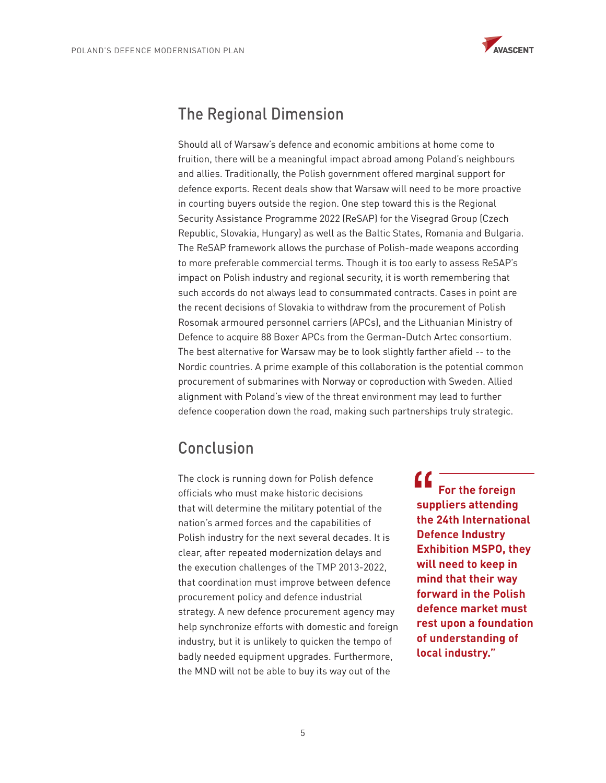

## The Regional Dimension

Should all of Warsaw's defence and economic ambitions at home come to fruition, there will be a meaningful impact abroad among Poland's neighbours and allies. Traditionally, the Polish government offered marginal support for defence exports. Recent deals show that Warsaw will need to be more proactive in courting buyers outside the region. One step toward this is the Regional Security Assistance Programme 2022 (ReSAP) for the Visegrad Group (Czech Republic, Slovakia, Hungary) as well as the Baltic States, Romania and Bulgaria. The ReSAP framework allows the purchase of Polish-made weapons according to more preferable commercial terms. Though it is too early to assess ReSAP's impact on Polish industry and regional security, it is worth remembering that such accords do not always lead to consummated contracts. Cases in point are the recent decisions of Slovakia to withdraw from the procurement of Polish Rosomak armoured personnel carriers (APCs), and the Lithuanian Ministry of Defence to acquire 88 Boxer APCs from the German-Dutch Artec consortium. The best alternative for Warsaw may be to look slightly farther afield -- to the Nordic countries. A prime example of this collaboration is the potential common procurement of submarines with Norway or coproduction with Sweden. Allied alignment with Poland's view of the threat environment may lead to further defence cooperation down the road, making such partnerships truly strategic.

### Conclusion

The clock is running down for Polish defence officials who must make historic decisions that will determine the military potential of the nation's armed forces and the capabilities of Polish industry for the next several decades. It is clear, after repeated modernization delays and the execution challenges of the TMP 2013-2022, that coordination must improve between defence procurement policy and defence industrial strategy. A new defence procurement agency may help synchronize efforts with domestic and foreign industry, but it is unlikely to quicken the tempo of badly needed equipment upgrades. Furthermore, the MND will not be able to buy its way out of the

 **For the foreign suppliers attending the 24th International Defence Industry Exhibition MSPO, they will need to keep in mind that their way forward in the Polish defence market must rest upon a foundation of understanding of local industry."**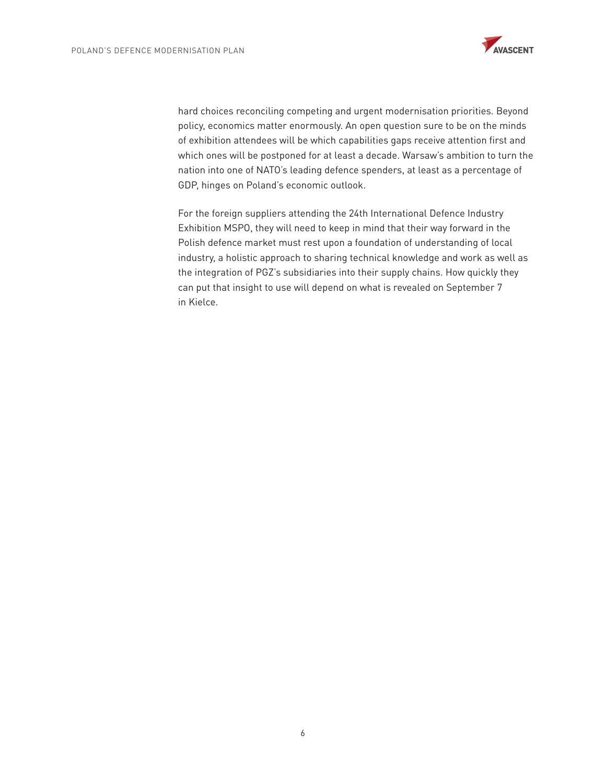

hard choices reconciling competing and urgent modernisation priorities. Beyond policy, economics matter enormously. An open question sure to be on the minds of exhibition attendees will be which capabilities gaps receive attention first and which ones will be postponed for at least a decade. Warsaw's ambition to turn the nation into one of NATO's leading defence spenders, at least as a percentage of GDP, hinges on Poland's economic outlook.

For the foreign suppliers attending the 24th International Defence Industry Exhibition MSPO, they will need to keep in mind that their way forward in the Polish defence market must rest upon a foundation of understanding of local industry, a holistic approach to sharing technical knowledge and work as well as the integration of PGZ's subsidiaries into their supply chains. How quickly they can put that insight to use will depend on what is revealed on September 7 in Kielce.